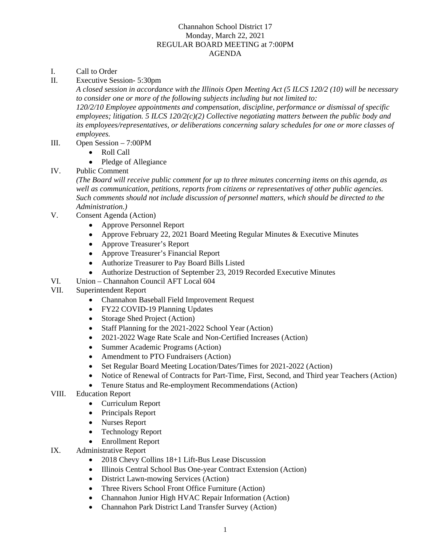## Channahon School District 17 Monday, March 22, 2021 REGULAR BOARD MEETING at 7:00PM AGENDA

- I. Call to Order
- II. Executive Session- 5:30pm

*A closed session in accordance with the Illinois Open Meeting Act (5 ILCS 120/2 (10) will be necessary to consider one or more of the following subjects including but not limited to: 120/2/10 Employee appointments and compensation, discipline, performance or dismissal of specific employees; litigation. 5 ILCS 120/2(c)(2) Collective negotiating matters between the public body and its employees/representatives, or deliberations concerning salary schedules for one or more classes of employees.* 

- III. Open Session 7:00PM
	- Roll Call
	- Pledge of Allegiance
- IV. Public Comment

*(The Board will receive public comment for up to three minutes concerning items on this agenda, as well as communication, petitions, reports from citizens or representatives of other public agencies. Such comments should not include discussion of personnel matters, which should be directed to the Administration.)* 

- V. Consent Agenda (Action)
	- Approve Personnel Report
	- Approve February 22, 2021 Board Meeting Regular Minutes & Executive Minutes
	- Approve Treasurer's Report
	- Approve Treasurer's Financial Report
	- Authorize Treasurer to Pay Board Bills Listed
	- Authorize Destruction of September 23, 2019 Recorded Executive Minutes
- VI. Union Channahon Council AFT Local 604
- VII. Superintendent Report
	- Channahon Baseball Field Improvement Request
	- FY22 COVID-19 Planning Updates
	- Storage Shed Project (Action)
	- Staff Planning for the 2021-2022 School Year (Action)
	- 2021-2022 Wage Rate Scale and Non-Certified Increases (Action)
	- Summer Academic Programs (Action)
	- Amendment to PTO Fundraisers (Action)
	- Set Regular Board Meeting Location/Dates/Times for 2021-2022 (Action)
	- Notice of Renewal of Contracts for Part-Time, First, Second, and Third year Teachers (Action)
	- Tenure Status and Re-employment Recommendations (Action)
- VIII. Education Report
	- Curriculum Report
	- Principals Report
	- Nurses Report
	- Technology Report
	- Enrollment Report
- IX. Administrative Report
	- 2018 Chevy Collins 18+1 Lift-Bus Lease Discussion
	- Illinois Central School Bus One-year Contract Extension (Action)
	- District Lawn-mowing Services (Action)
	- Three Rivers School Front Office Furniture (Action)
	- Channahon Junior High HVAC Repair Information (Action)
	- Channahon Park District Land Transfer Survey (Action)